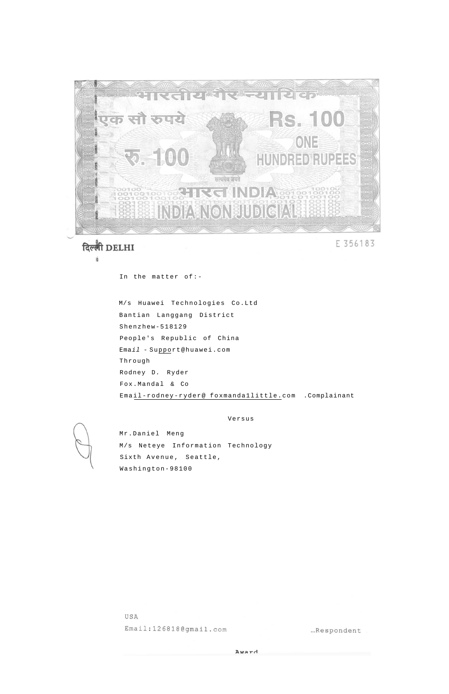

दिल्ली DELHI É

E 356183

In the matter of:-

M/s Huawei Technologies Co.Ltd Bantian Langgang District Shenzhew-518129 People's Republic of China Email - Support@huawei.com Through Rodney D. Ryder Fox.Mandal & Co Email-rodney-ryder@ foxmanda1little.com .Complainant

Versus

Mr.Daniel Meng M/s Neteye Information Technology Sixth Avenue, Seattle, Washington-98100

USA Email:126818@gmail.com ...Respondent

Award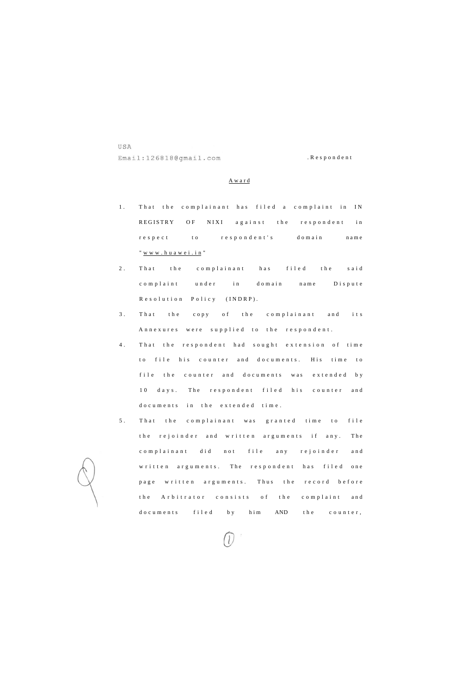USA Email:126818@gmail.com .Responden t

## Awar d

- 1. That the complainant has filed a complaint in IN REGISTRY OF NIXI against the respondent in respect to respondent's domain name "[www.huawei.in](http://www.huawei.in) "
- 2. That the complainant has filed the said complaint under in domain name Dispute Resolution Policy (INDRP).
- 3. That the copy of the complainant and its Annexures were supplied to the respondent.
- 4. That the respondent had sought extension of time to file his counter and documents. His time to file the counter and documents was extended by 10 days. The respondent filed his counter and documents in the extended time.
- 5. That the complainant was granted time to file the rejoinder and written arguments if any. The complainant did not file any rejoinder and written arguments. The respondent has filed one page written arguments. Thus the record before the Arbitrator consists of the complaint and

documents filed by him AND the counter,

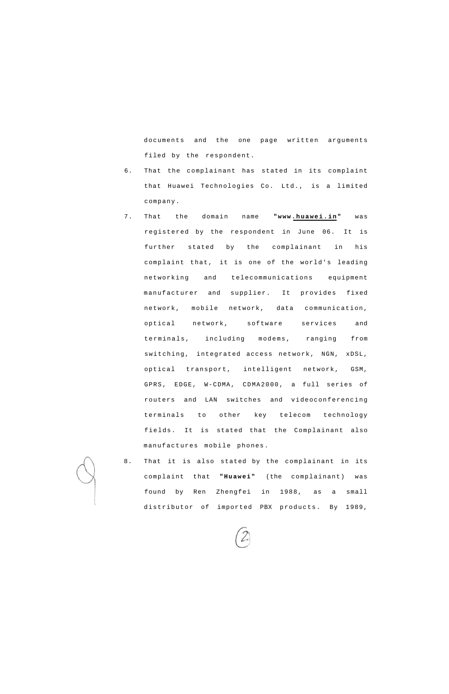documents and the one page written arguments filed by the respondent.

- 6. That the complainant has stated in its complaint that Huawei Technologies Co. Ltd., is a limited company.
- 7. That the domain name **"www.huawei.in"** was registered by the respondent in June 06. It is further stated by the complainant in his complaint that, it is one of the world's leading networking and telecommunications equipment manufacturer and supplier. It provides fixed network, mobile network, data communication, optical network, software services and terminals, including modems, ranging from switching, integrated access network, NGN, xDSL, optical transport, intelligent network, GSM, GPRS, EDGE, W-CDMA, CDMA2000, a full series of routers and LAN switches and videoconferencing terminals to other key telecom technology fields. It is stated that the Complainant also manufactures mobile phones.
- 8. That it is also stated by the complainant in its complaint that **"Huawei"** (the complainant) was found by Ren Zhengfei in 1988, as a small distributor of imported PBX products. By 1989,

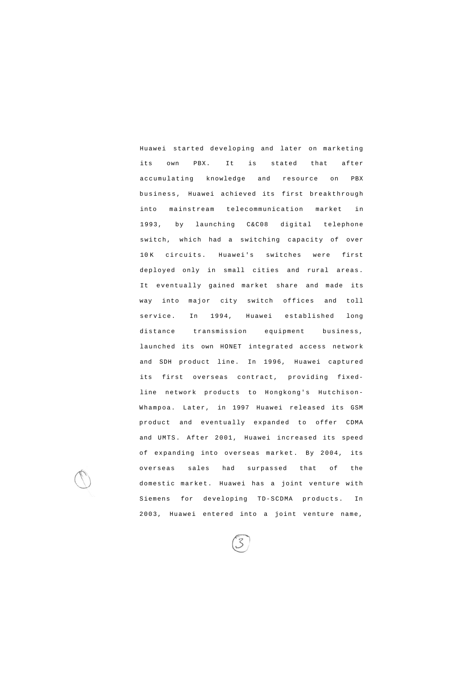Huawei started developing and later on marketing its own PBX. It is stated that after accumulating knowledge and resource on PBX business, Huawei achieved its first breakthrough into mainstream telecommunication market in 1993, by launching C&C08 digital telephone switch, which had a switching capacity of over 10 K circuits. Huawei's switches were first deployed only in small cities and rural areas. It eventually gained market share and made its way into major city switch offices and toll service. In 1994, Huawei established long distance transmission equipment business, launched its own HONET integrated access network and SDH product line. In 1996, Huawei captured its first overseas contract, providing fixedline network products to Hongkong's Hutchison-Whampoa. Later, in 1997 Huawei released its GSM product and eventually expanded to offer CDMA and UMTS. After 2001, Huawei increased its speed of expanding into overseas market. By 2004, its overseas sales had surpassed that of the domestic market. Huawei has a joint venture with Siemens for developing TD-SCDMA products. In

2003, Huawei entered into a joint venture name,

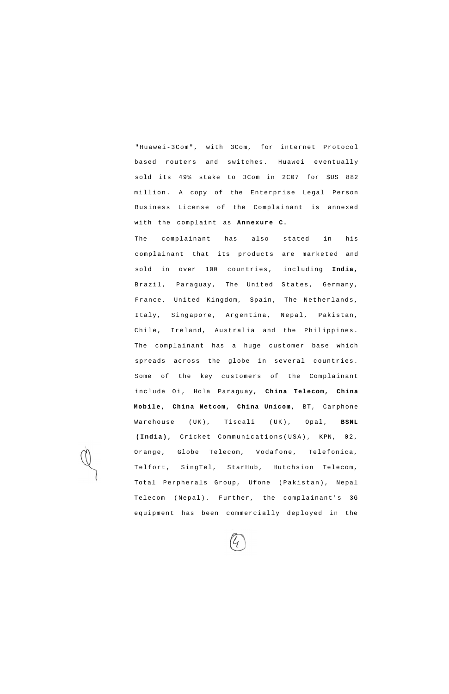"Huawei-3Com", with 3Com, for internet Protocol based routers and switches. Huawei eventually sold its 49% stake to 3Com in 2C07 for \$US 882 million. A copy of the Enterprise Legal Person Business License of the Complainant is annexed with the complaint as **Annexure C.** 

The complainant has also stated in his complainant that its products are marketed and sold in over 100 countries, including **India,**  Brazil, Paraguay, The United States, Germany, France, United Kingdom, Spain, The Netherlands, Italy, Singapore, Argentina, Nepal, Pakistan, Chile, Ireland, Australia and the Philippines. The complainant has a huge customer base which spreads across the globe in several countries. Some of the key customers of the Complainant include Oi, Hola Paraguay, **China Telecom, China Mobile, China Netcom, China Unicom,** BT, Carphone Warehouse (UK), Tiscali (UK), Opal, **BSNL (India),** Cricket Communications(USA) , KPN, 02, Orange, Globe Telecom, Vodafone, Telefonica, Telfort, SingTel, StarHub, Hutchsion Telecom, Total Perpherals Group, Ufone (Pakistan), Nepal Telecom (Nepal). Further, the complainant's 3G

equipment has been commercially deployed in the

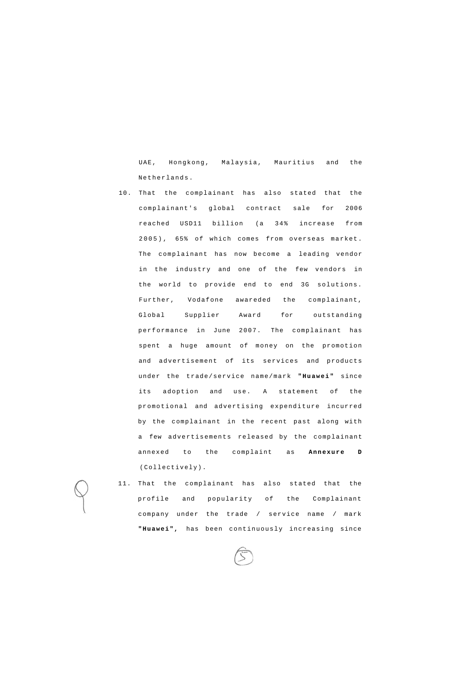UAE, Hongkong, Malaysia, Mauritius and the Netherlands.

- 10. That the complainant has also stated that the complainant's global contract sale for 2006 reached USD11 billion (a 34% increase from 2005) , 65% of which comes from overseas market. The complainant has now become a leading vendor in the industry and one of the few vendors in the world to provide end to end 3G solutions. Further, Vodafone awareded the complainant, Global Supplier Award for outstanding performance in June 2007. The complainant has spent a huge amount of money on the promotion and advertisement of its services and products under the trade/service name/mark **"Huawei"** since its adoption and use. A statement of the promotional and advertising expenditure incurred by the complainant in the recent past along with a few advertisements released by the complainant annexed to the complaint as **Annexure D**  (Collectively).
- 11. That the complainant has also stated that the profile and popularity of the Complainant

company under the trade / service name / mark

**"Huawei",** has been continuously increasing since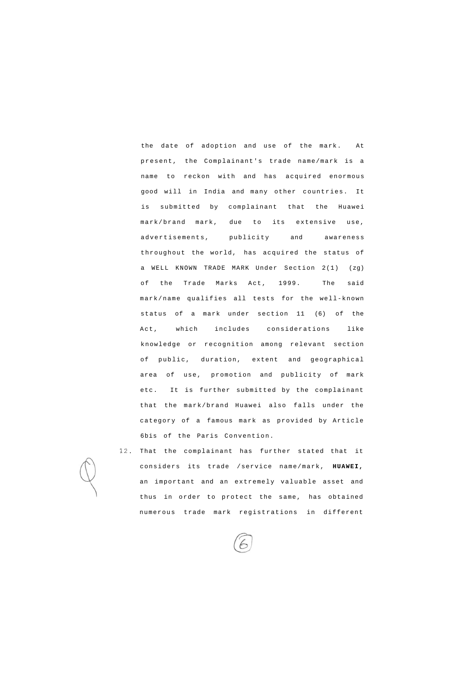the date of adoption and use of the mark. At present, the Complainant's trade name/mark is a name to reckon with and has acquired enormous good will in India and many other countries. It is submitted by complainant that the Huawei mark/brand mark, due to its extensive use, advertisements, publicity and awareness throughout the world, has acquired the status of a WELL KNOWN TRADE MARK Under Section 2(1) (zg) of the Trade Marks Act, 1999. The said mark/name qualifies all tests for the well-known status of a mark under section 11 (6) of the Act, which includes considerations like knowledge or recognition among relevant section of public, duration, extent and geographical area of use, promotion and publicity of mark etc. It is further submitted by the complainant that the mark/brand Huawei also falls under the category of a famous mark as provided by Article 6bis of the Paris Convention.

12. That the complainant has further stated that it considers its trade /service name/mark, **HUAWEI,**  an important and an extremely valuable asset and thus in order to protect the same, has obtained

numerous trade mark registrations in different

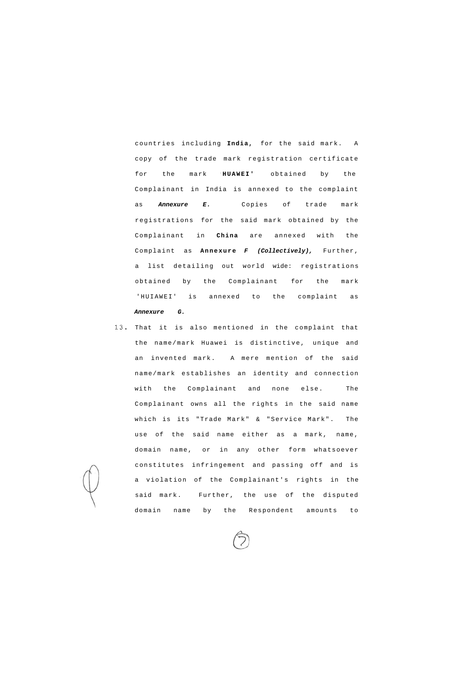countries including **India,** for the said mark. A copy of the trade mark registration certificate for the mark '**HUAWEI'** obtained by the Complainant in India is annexed to the complaint as **Annexure E.** Copies of trade mark registrations for the said mark obtained by the Complainant in **China** are annexed with the Complaint as **Annexure F (Collectively),** Further, a list detailing out world wide: registrations obtained by the Complainant for the mark 'HUIAWEI' is annexed to the complaint as **Annexure G.** 

13. That it is also mentioned in the complaint that the name/mark Huawei is distinctive, unique and an invented mark. A mere mention of the said name/mark establishes an identity and connection with the Complainant and none else. The Complainant owns all the rights in the said name which is its "Trade Mark" & "Service Mark". The use of the said name either as a mark, name, domain name, or in any other form whatsoever constitutes infringement and passing off and is a violation of the Complainant's rights in the said mark. Further, the use of the disputed

domain name by the Respondent amounts

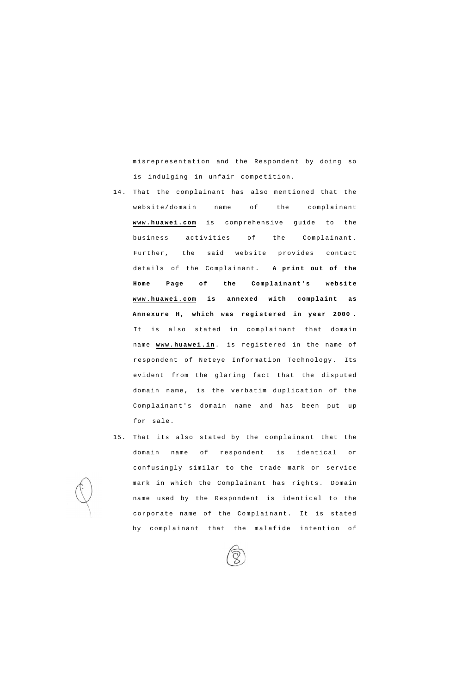misrepresentation and the Respondent by doing so is indulging in unfair competition.

- 14. That the complainant has also mentioned that the website/domain name of the complainant **[www.huawei.com](http://www.huawei.com)** is comprehensive guide to the business activities of the Complainant. Further, the said website provides contact details of the Complainant. **A print out of the Home Page of the Complainant's website [www.huawei.com i](http://www.huawei.com)s annexed with complaint as Annexure H, which was registered in year 2000 .**  It is also stated in complainant that domain name **[www.huawei.in](http://www.huawei.in)**. is registered in the name of respondent of Neteye Information Technology. Its evident from the glaring fact that the disputed domain name, is the verbatim duplication of the Complainant's domain name and has been put up for sale.
- 15. That its also stated by the complainant that the domain name of respondent is identical or confusingly similar to the trade mark or service mark in which the Complainant has rights. Domain name used by the Respondent is identical to the

corporate name of the Complainant. It is stated

by complainant that the malafide intention of

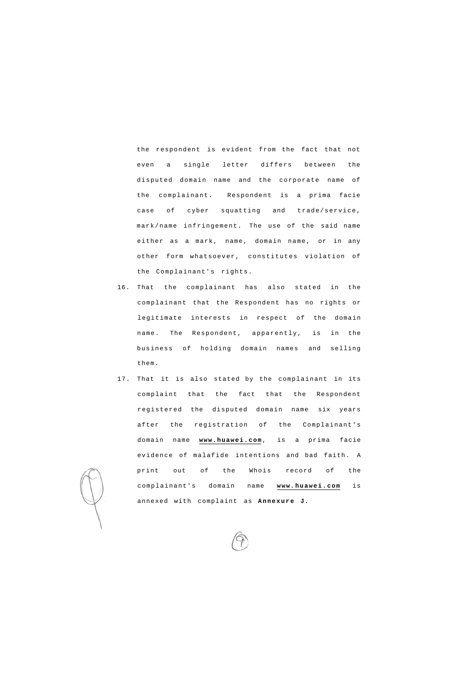the respondent is evident from the fact that not even a single letter differs between the disputed domain name and the corporate name of case of cyber squatting and trade/service, mark/name infringement. The use of the said name either as a mark, name, domain name, or in any other form whatsoever, constitutes violation of the Complainant's rights. the complainant. Respondent is a prima facie

- 16. That the complainant has also stated in the complainant that the Respondent has no rights or legitimate interests in respect of the domain name. The Respondent, apparently, is in the business of holding domain names and selling them.
- 17. That it is also stated by the complainant in its complaint that the fact that the Respondent registered the disputed domain name six years after the registration of the Complainant's domain name **[www.huawei.com](http://www.huawei.com)**, is a prima facie evidence of malafide intentions and bad faith. A print out of the Whois record of the complainant's domain name **[www.huawei.com](http://www.huawei.com)** is annexed with complaint as **Annexure J.**

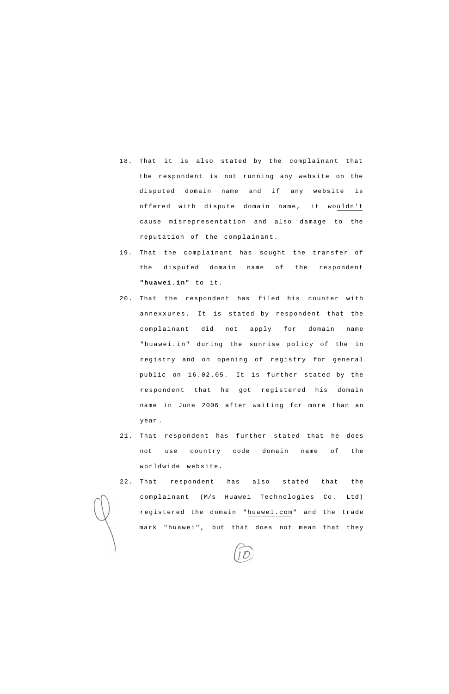- 18. That it is also stated by the complainant that the respondent is not running any website on the disputed domain name and if any website is offered with dispute domain name, it wouldn't cause misrepresentation and also damage to the reputation of the complainant.
- 19. That the complainant has sought the transfer of the disputed domain name of the respondent **"huawei.in"** to it.
- 20. That the respondent has filed his counter with annexxures. It is stated by respondent that the complainant did not apply for domain name "huawei.in" during the sunrise policy of the in registry and on opening of registry for general public on 16.02.05. It is further stated by the respondent that he got registered his domain name in June 2006 after waiting fcr more than an year .
- 21. That respondent has further stated that he does not use country code domain name of the worldwide website.
- 22. That respondent has also stated that the complainant (M/s Huawei Technologies Co. Ltd)

registered the domain "[huawei.com"](http://huawei.com) and the trade

mark "huawei", but that does not mean that they

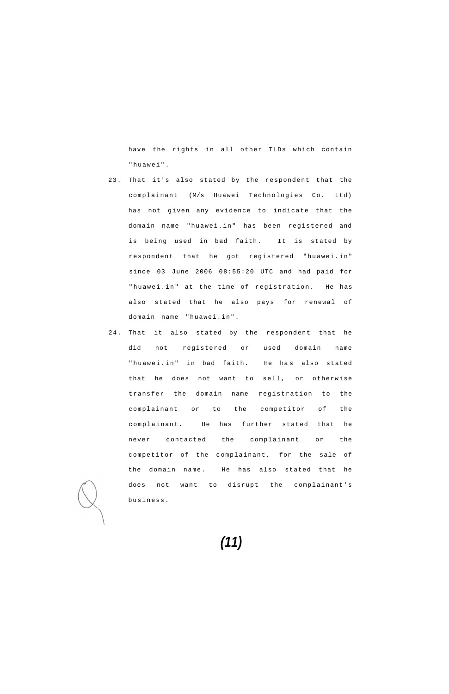have the rights in all other TLDs which contain "huawei".

- 2 3. That it's also stated by the respondent that the complainant (M/s Huawei Technologies Co. Ltd) has not given any evidence to indicate that the domain name "huawei.in" has been registered and is being used in bad faith. It is stated by respondent that he got registered "huawei.in" since 03 June 2006 08:55:20 UTC and had paid for "huawei.in" at the time of registration. He has also stated that he also pays for renewal of domain name "huawei.in".
- 24. That it also stated by the respondent that he did not registered or used domain name "huawei.in" in bad faith. He has also stated that he does not want to sell, or otherwise transfer the domain name registration to the complainant or to the competitor of the complainant. He has further stated that he never contacted the complainant or the competitor of the complainant, for the sale of the domain name. He has also stated that he does not want to disrupt the complainant's business.

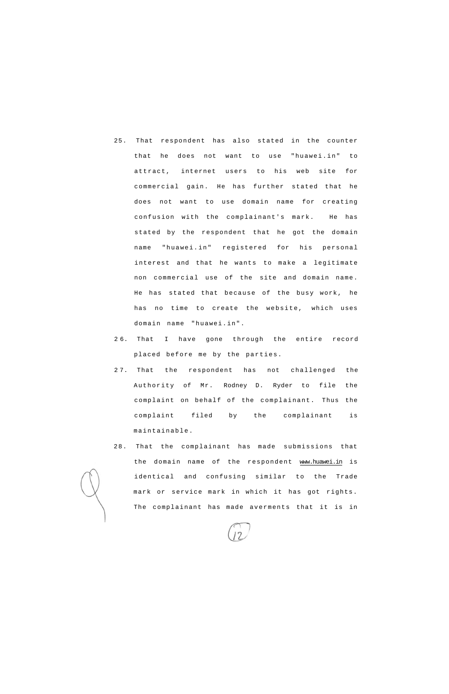- 25. That respondent has also stated in the counter that he does not want to use "huawei.in" to attract, internet users to his web site for commercial gain. He has further stated that he does not want to use domain name for creating confusion with the complainant's mark. He has stated by the respondent that he got the domain name "huawei.in" registered for his personal interest and that he wants to make a legitimate non commercial use of the site and domain name. He has stated that because of the busy work, he has no time to create the website, which uses domain name "huawei.in".
- 2 6. That I have gone through the entire record placed before me by the parties.
- 2 7. That the respondent has not challenged the Authority of Mr. Rodney D. Ryder to file the complaint on behalf of the complainant. Thus the complaint filed by the complainant is maintainable.
- 2 8. That the complainant has made submissions that the domain name of the respondent [www.huawei.in i](http://www.huawei.in)s identical and confusing similar to the Trade mark or service mark in which it has got rights. The complainant has made averments that it is in

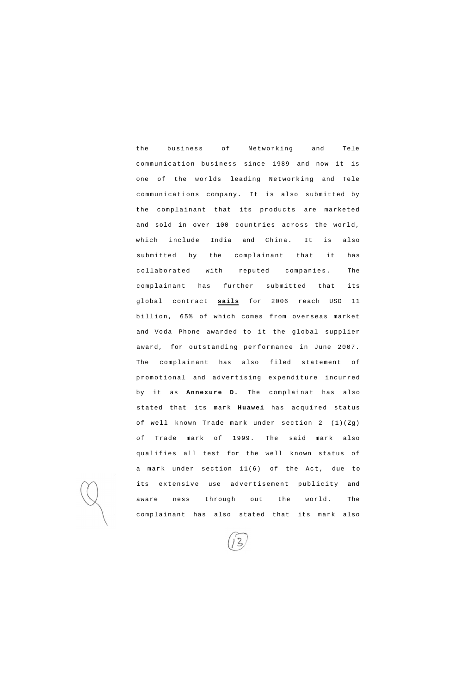the business of Networking and Tele communication business since 1989 and now it is one of the worlds leading Networking and Tele communications company. It is also submitted by the complainant that its products are marketed and sold in over 100 countries across the world, which include India and China. It is also submitted by the complainant that it has collaborated with reputed companies. The complainant has further submitted that its global contract **sails** for 2006 reach USD 11 billion, 65% of which comes from overseas market and Voda Phone awarded to it the global supplier award, for outstanding performance in June 2007. The complainant has also filed statement of promotional and advertising expenditure incurred by it as **Annexure D.** The complainat has also stated that its mark **Huawei** has acquired status of well known Trade mark under section 2 (1)(Zg) of Trade mark of 1999. The said mark also qualifies all test for the well known status of a mark under section 11(6) of the Act, due to its extensive use advertisement publicity and aware ness through out the world. The

complainant has also stated that its mark also

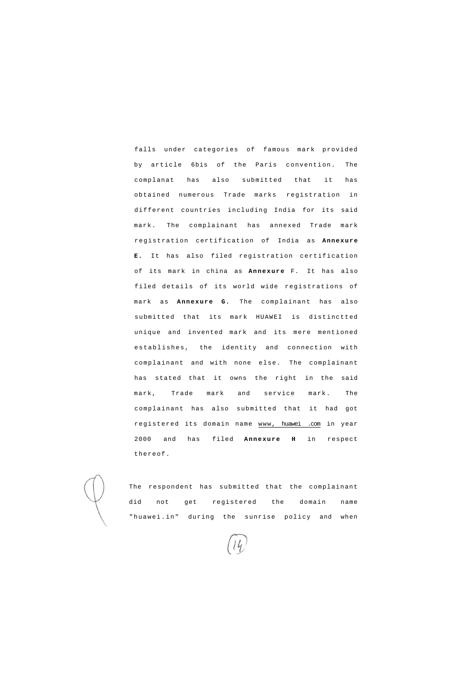falls under categories of famous mark provided by article 6bis of the Paris convention. The complanat has also submitted that it has obtained numerous Trade marks registration in different countries including India for its said mark. The complainant has annexed Trade mark registration certification of India as **Annexure E.** It has also filed registration certification of its mark in china as **Annexure** F. It has also filed details of its world wide registrations of mark as **Annexure G.** The complainant has also submitted that its mark HUAWEI is distinctted unique and invented mark and its mere mentioned establishes, the identity and connection with complainant and with none else. The complainant has stated that it owns the right in the said mark, Trade mark and service mark. The complainant has also submitted that it had got registered its domain name www, huawei .com in year 2000 and has filed **Annexure H** in respect thereof.

The respondent has submitted that the complainant did not get registered the domain name

"huawei.in" during the sunrise policy and when

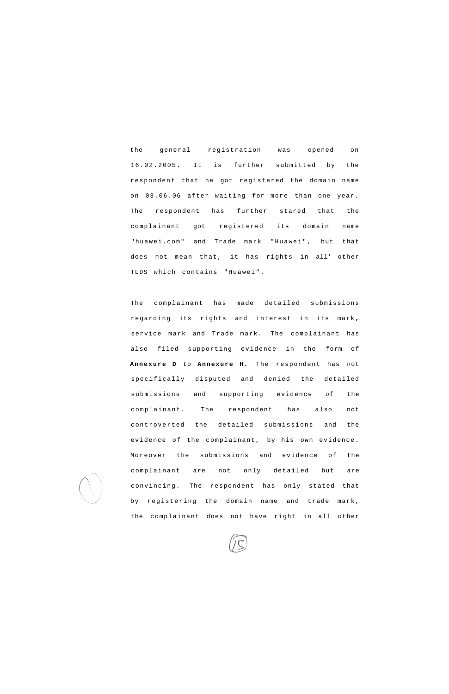the general registration was opened on 16.02.2005. It is further submitted by the respondent that he got registered the domain name on 03.06.06 after waiting for more than one year. The respondent has further stared that the complainant got registered its domain name "[huawei.com"](http://huawei.com) and Trade mark "Huawei", but that does not mean that, it has rights in all' other TLDS which contains "Huawei".

The complainant has made detailed submissions regarding its rights and interest in its mark, service mark and Trade mark. The complainant has also filed supporting evidence in the form of **Annexure D** to **Annexure H.** The respondent has not specifically disputed and denied the detailed submissions and supporting evidence of the complainant. The respondent has also not controverted the detailed submissions and the evidence of the complainant, by his own evidence. Moreover the submissions and evidence of the complainant are not only detailed but are convincing. The respondent has only stated that by registering the domain name and trade mark,



the complainant does not have right in all other

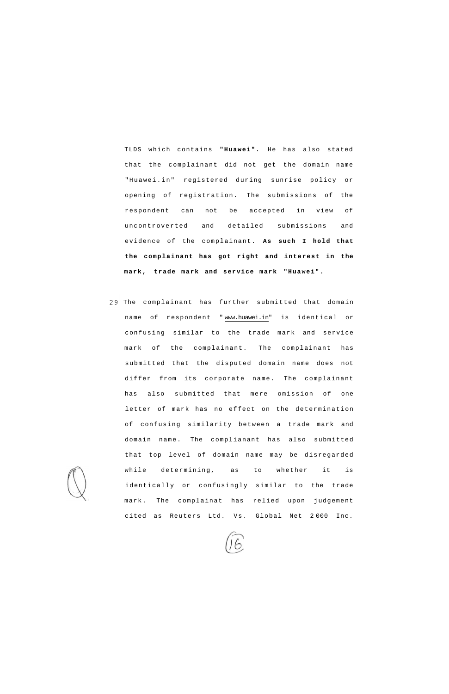TLDS which contains **"Huawei".** He has also stated that the complainant did not get the domain name "Huawei.in" registered during sunrise policy or opening of registration. The submissions of the respondent can not be accepted in view of uncontroverted and detailed submissions and evidence of the complainant. **As such I hold that the complainant has got right and interest in the mark, trade mark and service mark "Huawei".** 

29 The complainant has further submitted that domain name of respondent " [www.huawei.in"](http://www.huawei.in) is identical or confusing similar to the trade mark and service mark of the complainant. The complainant has submitted that the disputed domain name does not differ from its corporate name. The complainant has also submitted that mere omission of one letter of mark has no effect on the determination of confusing similarity between a trade mark and domain name. The complianant has also submitted that top level of domain name may be disregarded while determining, as to whether it is identically or confusingly similar to the trade mark. The complainat has relied upon judgement

cited as Reuters Ltd. Vs. Global Net 2000 Inc.

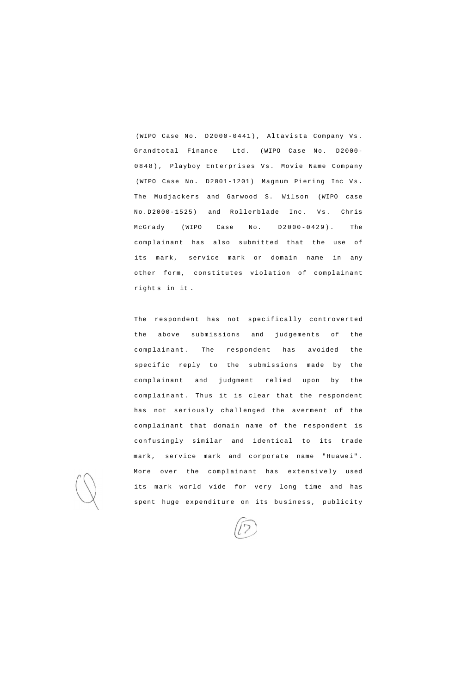(WIPO Case No. D2000-0441) , Altavista Company Vs. Grandtotal Finance Ltd. (WIPO Case No. D2000- 0848) , Playboy Enterprises Vs. Movie Name Company (WIPO Case No. D2001-1201) Magnum Piering Inc Vs. The Mudjackers and Garwood S. Wilson (WIPO case No.D2000-1525) and Rollerblade Inc. Vs. Chris McGrady (WIPO Case No. D2000-0429) . The complainant has also submitted that the use of its mark, service mark or domain name in any other form, constitutes violation of complainant right s in it .

The respondent has not specifically controverted the above submissions and judgements of the complainant. The respondent has avoided the specific reply to the submissions made by the complainant and judgment relied upon by the complainant. Thus it is clear that the respondent has not seriously challenged the averment of the complainant that domain name of the respondent is confusingly similar and identical to its trade mark, service mark and corporate name "Huawei". More over the complainant has extensively used its mark world vide for very long time and has spent huge expenditure on its business, publicity

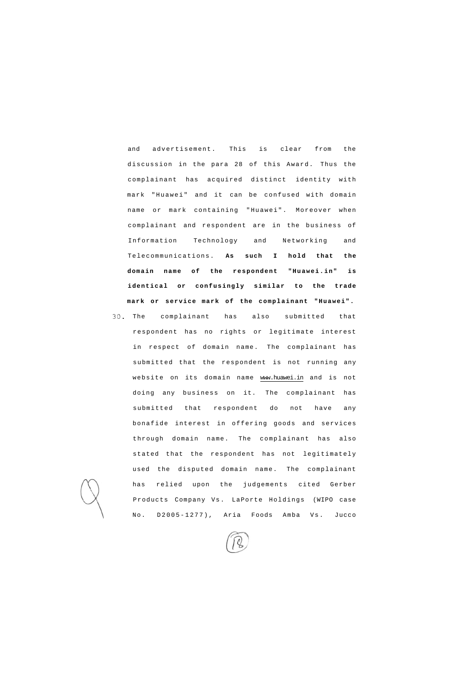and advertisement. This is clear from the discussion in the para 28 of this Award. Thus the complainant has acquired distinct identity with mark "Huawei" and it can be confused with domain name or mark containing "Huawei". Moreover when complainant and respondent are in the business of Information Technology and Networking and Telecommunications. **As such I hold that the domain name of the respondent "Huawei.in" is identical or confusingly similar to the trade mark or service mark of the complainant "Huawei".** 

30. The complainant has also submitted that respondent has no rights or legitimate interest in respect of domain name. The complainant has submitted that the respondent is not running any website on its domain name [www.huawei.in a](http://www.huawei.in)nd is not doing any business on it. The complainant has submitted that respondent do not have any bonafide interest in offering goods and services through domain name. The complainant has also stated that the respondent has not legitimately used the disputed domain name. The complainant has relied upon the judgements cited Gerber Products Company Vs. LaPorte Holdings (WIPO case

No. D2005-1277), Aria Foods Amba Vs. Jucco

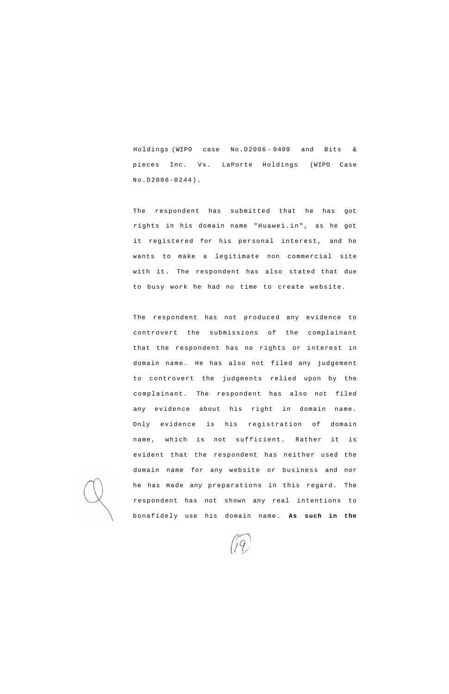Holdings (WIPO case No.D2006 - 0409 and Bits & pieces Inc. Vs. LaPorte Holdings (WIPO Case No.D2006-0244) .

The respondent has submitted that he has got rights in his domain name "Huawei.in", as he got it registered for his personal interest, and he wants to make a legitimate non commercial site with it. The respondent has also stated that due to busy work he had no time to create website.

The respondent has not produced any evidence to controvert the submissions of the complainant that the respondent has no rights or interest in domain name. He has also not filed any judgement to controvert the judgments relied upon by the complainant. The respondent has also not filed any evidence about his right in domain name. Only evidence is his registration of domain name, which is not sufficient. Rather it is evident that the respondent has neither used the domain name for any website or business and nor he has made any preparations in this regard. The respondent has not shown any real intentions to

bonafidely use his domain name. **As such in the** 

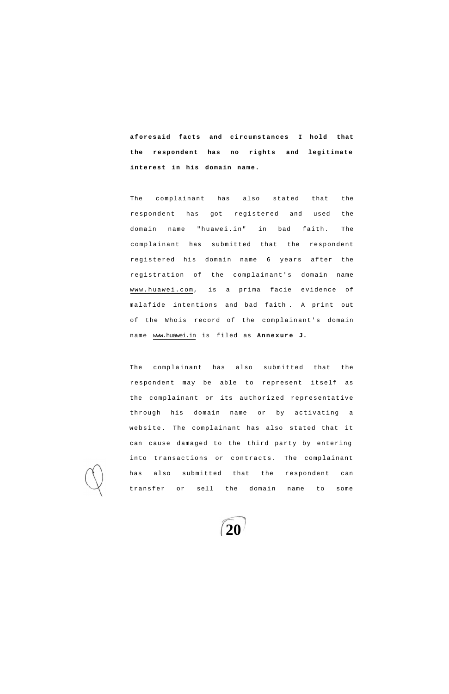**aforesaid facts and circumstances I hold that the respondent has no rights and legitimate interest in his domain name.** 

The complainant has also stated that the respondent has got registered and used the domain name "huawei.in" in bad faith. The complainant has submitted that the respondent registered his domain name 6 years after the registration of the complainant's domain name [www.huawei.com,](http://www.huawei.com) is a prima facie evidence of malafide intentions and bad faith . A print out of the Whois record of the complainant's domain name [www.huawei.in](http://www.huawei.in) is filed as **Annexure J.** 

The complainant has also submitted that the respondent may be able to represent itself as the complainant or its authorized representative through his domain name or by activating a website. The complainant has also stated that it can cause damaged to the third party by entering into transactions or contracts. The complainant has also submitted that the respondent can transfer or sell the domain name to some